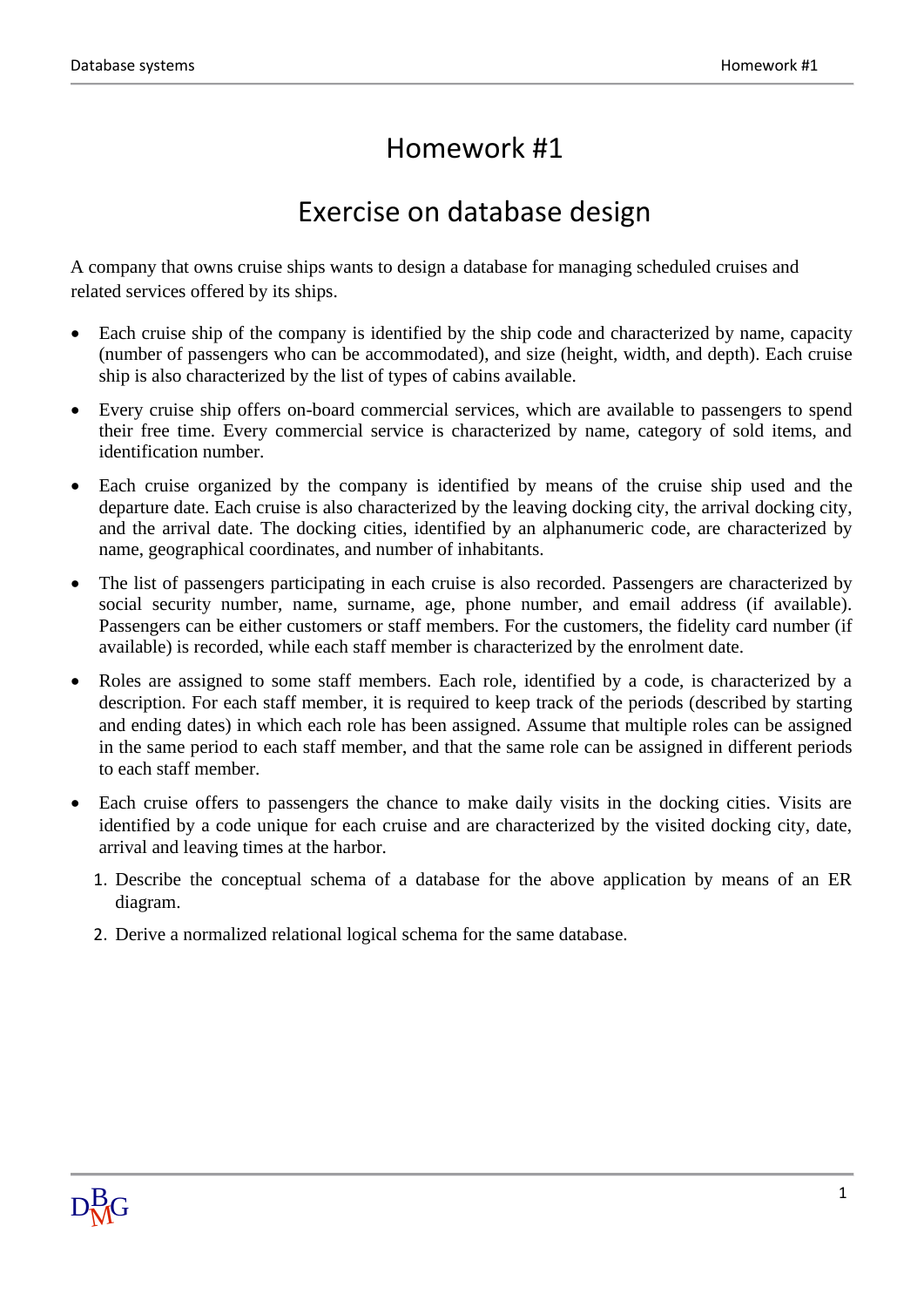## Homework #1

## Exercise on database design

A company that owns cruise ships wants to design a database for managing scheduled cruises and related services offered by its ships.

- Each cruise ship of the company is identified by the ship code and characterized by name, capacity (number of passengers who can be accommodated), and size (height, width, and depth). Each cruise ship is also characterized by the list of types of cabins available.
- Every cruise ship offers on-board commercial services, which are available to passengers to spend their free time. Every commercial service is characterized by name, category of sold items, and identification number.
- Each cruise organized by the company is identified by means of the cruise ship used and the departure date. Each cruise is also characterized by the leaving docking city, the arrival docking city, and the arrival date. The docking cities, identified by an alphanumeric code, are characterized by name, geographical coordinates, and number of inhabitants.
- The list of passengers participating in each cruise is also recorded. Passengers are characterized by social security number, name, surname, age, phone number, and email address (if available). Passengers can be either customers or staff members. For the customers, the fidelity card number (if available) is recorded, while each staff member is characterized by the enrolment date.
- Roles are assigned to some staff members. Each role, identified by a code, is characterized by a description. For each staff member, it is required to keep track of the periods (described by starting and ending dates) in which each role has been assigned. Assume that multiple roles can be assigned in the same period to each staff member, and that the same role can be assigned in different periods to each staff member.
- Each cruise offers to passengers the chance to make daily visits in the docking cities. Visits are identified by a code unique for each cruise and are characterized by the visited docking city, date, arrival and leaving times at the harbor.
	- 1. Describe the conceptual schema of a database for the above application by means of an ER diagram.
	- 2. Derive a normalized relational logical schema for the same database.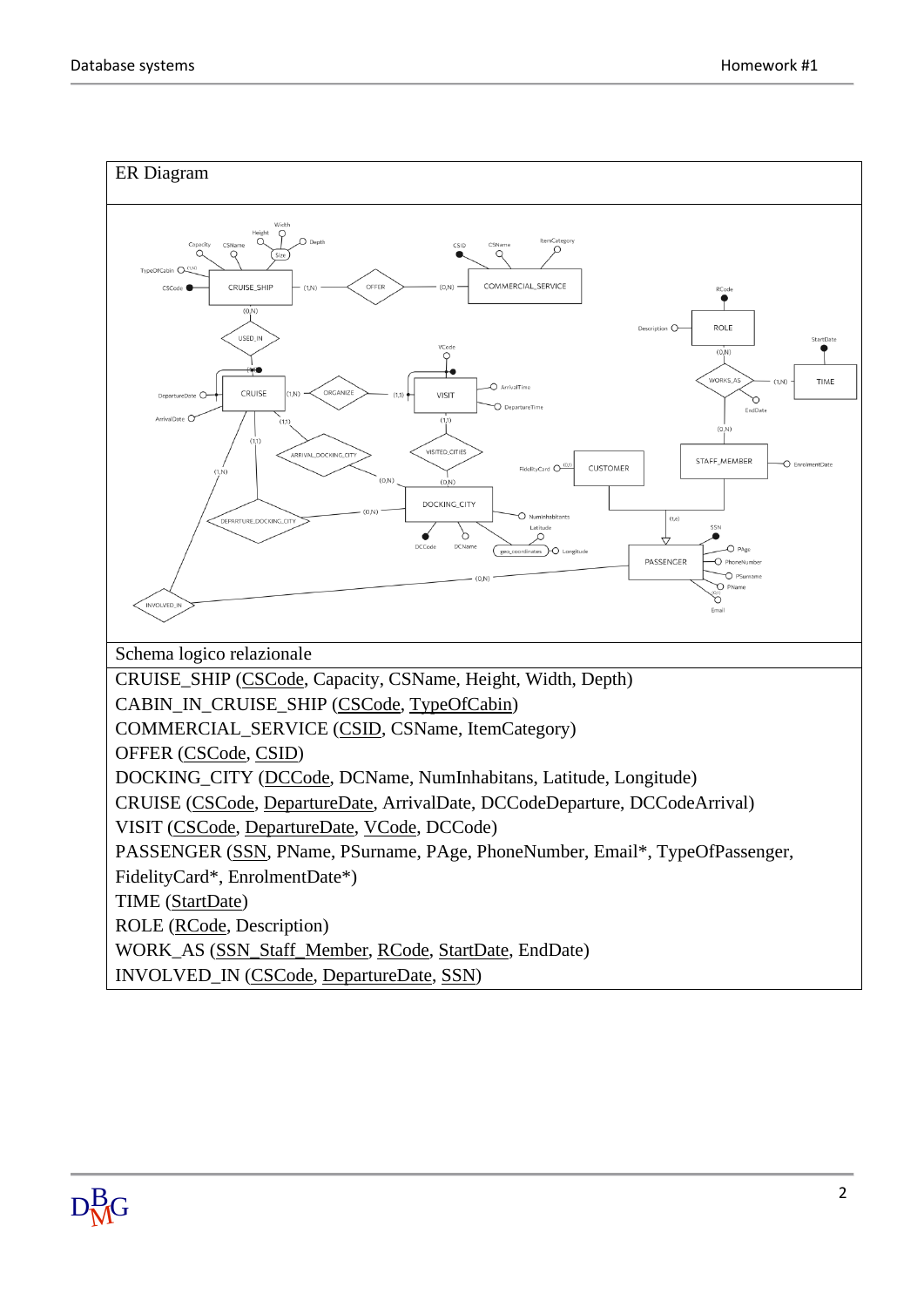